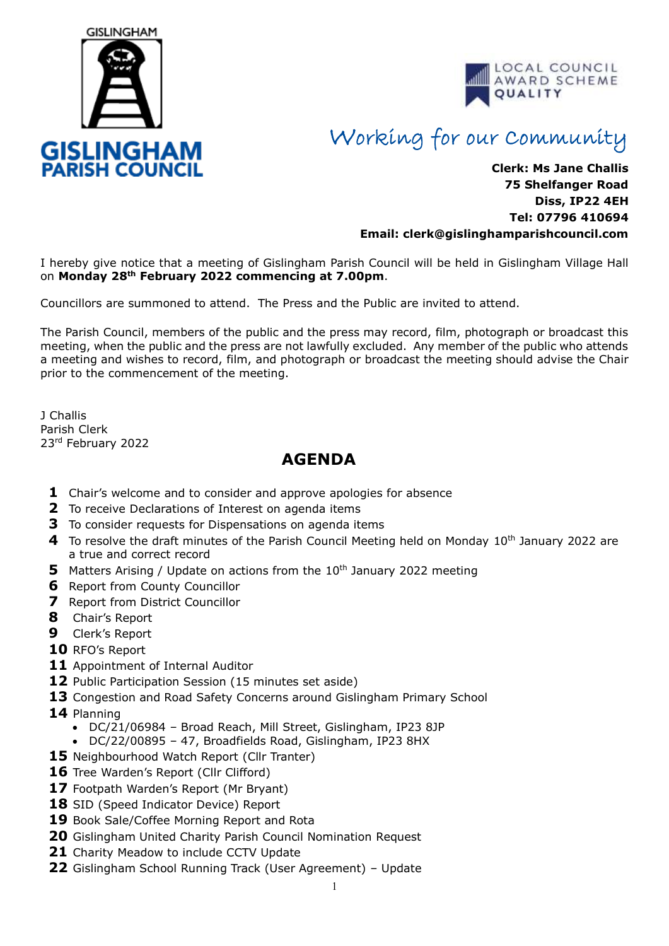



## Working for our Community

## **Clerk: Ms Jane Challis 75 Shelfanger Road Diss, IP22 4EH Tel: 07796 410694 Email: clerk[@gislinghamparishcouncil.com](mailto:gislinghamparishcouncil@gmail.com)**

I hereby give notice that a meeting of Gislingham Parish Council will be held in Gislingham Village Hall on **Monday 28th February 2022 commencing at 7.00pm**.

Councillors are summoned to attend. The Press and the Public are invited to attend.

The Parish Council, members of the public and the press may record, film, photograph or broadcast this meeting, when the public and the press are not lawfully excluded. Any member of the public who attends a meeting and wishes to record, film, and photograph or broadcast the meeting should advise the Chair prior to the commencement of the meeting.

J Challis Parish Clerk 23rd February 2022

## **AGENDA**

- **1** Chair's welcome and to consider and approve apologies for absence
- **2** To receive Declarations of Interest on agenda items
- **3** To consider requests for Dispensations on agenda items
- 4 To resolve the draft minutes of the Parish Council Meeting held on Monday 10<sup>th</sup> January 2022 are a true and correct record
- **5** Matters Arising / Update on actions from the 10<sup>th</sup> January 2022 meeting
- **6** Report from County Councillor
- **7** Report from District Councillor
- **8** Chair's Report
- **9** Clerk's Report
- **10** RFO's Report
- **11** Appointment of Internal Auditor
- 12 Public Participation Session (15 minutes set aside)
- **13** Congestion and Road Safety Concerns around Gislingham Primary School
- **14** Planning
	- DC/21/06984 Broad Reach, Mill Street, Gislingham, IP23 8JP
	- DC/22/00895 47, Broadfields Road, Gislingham, IP23 8HX
- 15 Neighbourhood Watch Report (Cllr Tranter)
- 16 Tree Warden's Report (Cllr Clifford)
- **17** Footpath Warden's Report (Mr Bryant)
- 18 SID (Speed Indicator Device) Report
- **19** Book Sale/Coffee Morning Report and Rota
- **20** Gislingham United Charity Parish Council Nomination Request
- **21** Charity Meadow to include CCTV Update
- **22** Gislingham School Running Track (User Agreement) Update